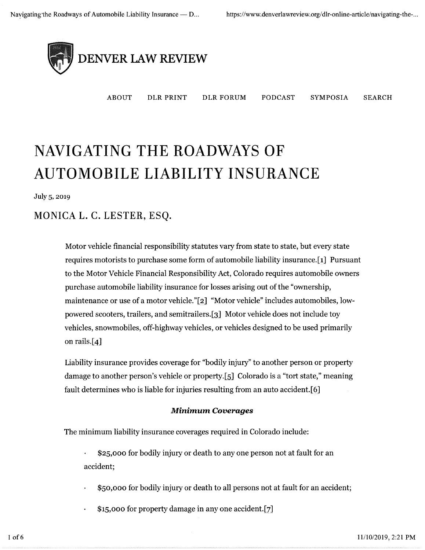

ABOUT DLR PRINT DLR FORUM PODCAST SYMPOSIA SEARGH

# AVIGATING THE R , and the control of the control of  $\alpha$ NAVIGATING THE ROADWAYS OF<br>AUTOMOBILE LIABILITY INSURA

July 5, 2oi9

## MONICA L. C. LESTER, ESQ.

Motor vehicle financial responsibility statutes vary from state to state, but every state requires motorists to purchase some form of automobile liability insurance.[i] Pursuant to the Motor Vehicle Financial Responsibility Act, Colorado requires automobile owners purchase automobile liability insurance for losses arising out of the "ownership, maintenance or use of a motor vehicle."[2] "Motor vehicle" includes automobiles, lowpowered scooters, trailers, and semitrailers.[3] Motor vehicle does not include toy vehicles, snowmobiles, off-highway vehicles, or vehicles designed to be used primarily on rails. $[4]$ 

Liability insurance provides coverage for "bodily injury" to another person or property damage to another person's vehicle or property.[5] Colorado is a "tort state," meaning fault determines who is liable for injuries resulting from an auto accident.[6]

#### Minimum Coverages

The minimum liability insurance coverages required in Colorado include:

- \$25,000 for bodily injury or death to any one person not at fault for an accident;
- \$50,000 for bodily injury or death to all persons not at fault for an accident;
- \$15,000 for property damage in any one accident.[7]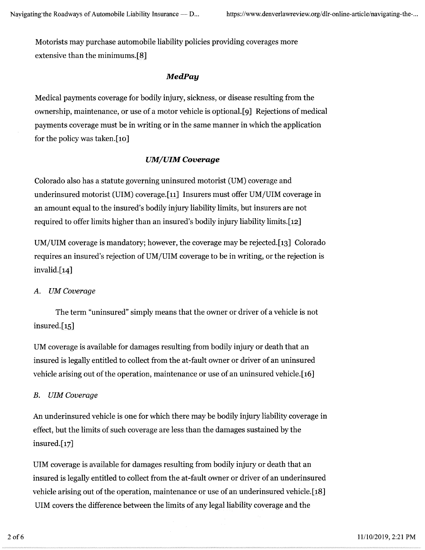Motorists may purchase automobile liability policies providing coverages more extensive than the minimums. $[8]$ 

#### **MedPay**

Medical payments coverage for bodily injury, sickness, or disease resulting from the ownership, maintenance, or use of a motor vehicle is optional.[9] Rejections of medical payments coverage must be in writing or in the same manner in which the application for the policy was taken.[io]

#### **UM/UIM Coverage**

Colorado also has a statute governing uninsured motorist (UM) coverage and underinsured motorist (UIM) coverage.[1i] Insurers must offer UM/UIM coverage in an amount equal to the insured's bodily injury liability limits, but insurers are not required to offer limits higher than an insured's bodily injury liability limits.[12]

UM/UIM coverage is mandatory; however, the coverage maybe rejected.[i3] Colorado requires an insured's rejection of UM/UIM coverage to be in writing, or the rejection is  $invalid.[14]$ 

A. UM Coverage

The term "uninsured" simply means that the owner or driver of a vehicle is not insured.[15]

UM coverage is available for damages resulting from bodily injury or death that an insured is legally entitled to collect from the at-fault owner or driver of an uninsured vehicle arising out of the operation, maintenance or use of an uninsured vehicle. [i6]

#### B. UIM Coverage

An underinsured vehicle is one for which there maybe bodily injury liability coverage in effect, but the limits of such coverage are less than the damages sustained by the insured. $[17]$ 

UIM coverage is available for damages resulting from bodily injury or death that an insured is legally entitled to collect from the at-fault owner or driver of an underinsured vehicle arising out of the operation, maintenance or use of an underinsured vehicle.[i8] UIM covers the difference between the limits of any legal liability coverage and the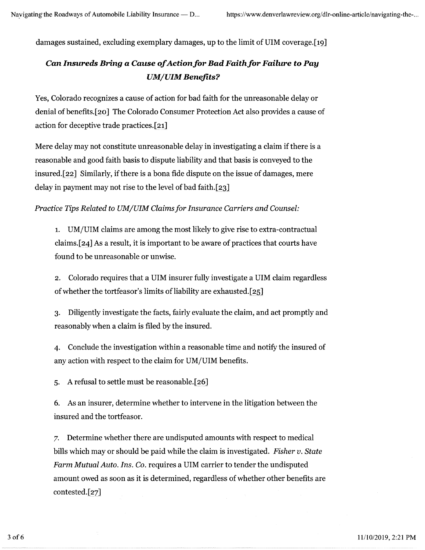damages sustained, excluding exemplary damages, up to the limit of UIM coverage.[19]

## Can Insureds Bring a Cause of Action for Bad Faith for Failure to Pay UM/UIM Benefits?

Yes, Colorado recognizes a cause of action for bad faith for the unreasonable delay or denial of benefits.[2o] The Colorado Consumer Protection Act also provides a cause of action for deceptive trade practices.[2i]

Mere delay may not constitute unreasonable delay in investigating a claim if there is a reasonable and good faith basis to dispute liability and that basis is conveyed to the insured.[22] Similarly, if there is a bona fide dispute on the issue of damages, mere delay in payment may not rise to the level of bad faith.[23]

Practice Tips Related to IIM/UIM Claims for Insurance Carriers and Counsel:

1. UM/UIM claims are among the most likely to give rise to extra-contractual claims.[24] As a result, it is important to be aware of practices that courts have found to be unreasonable or unwise.

2. Colorado requires that a UIM insurer fully investigate a UIM claim regardless of whether the tortfeasor's limits of liability are exhausted.[25]

3. Diligently investigate the facts, fairly evaluate the claim, and act promptly and reasonably when a claim is filed by the insured.

4. Conclude the investigation within a reasonable time and notify the insured of any action with respect to the claim for UM/UIM benefits.

5. A refusal to settle must be reasonable.[26]

6. As an insurer, determine whether to intervene in the litigation between the insured and the tortfeasor.

~. Determine whether there are undisputed amounts with respect to medical bills which may or should be paid while the claim is investigated. *Fisher v. State* Farm Mutual Auto. Ins. Co. requires a UIM carrier to tender the undisputed amount owed as soon as it is determined, regardless of whether other benefits are contested.[27]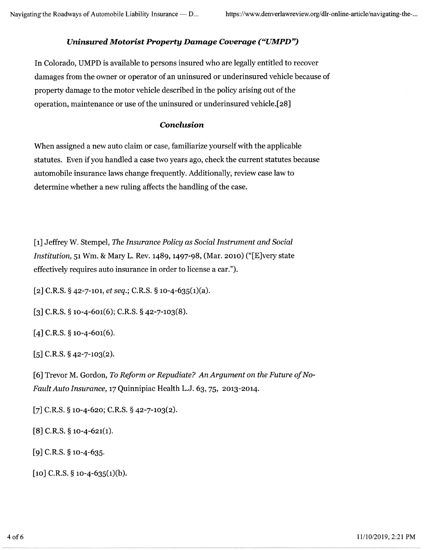## Uninsured Motorist Property Damage Coverage ("UMPD")

In Colorado, UMPD is available to persons insured who are legally entitled to recover damages from the owner or operator of an uninsured or underinsured vehicle because of property damage to the motor vehicle described in the policy arising out of the operation, maintenance or use of the uninsured or underinsured vehicle.[28]

### Conclusion

When assigned a new auto claim or case, familiarize yourself with the applicable statutes. Even if you handled a case two years ago, check the current statutes because automobile insurance laws change frequently. Additionally, review case law to determine whether a new ruling affects the handling of the case.

[i] Jeffrey W. Stempel, The Insurance Policy as Social Instrument and Social Institution, 51 Wm. & Mary L. Rev. 1489, 1497-98, (Mar. 2010) ("[E]very state effectively requires auto insurance in order to license a car.").

 $[2]$  C.R.S. § 42-7-101, et seq.; C.R.S. § 10-4-635(1)(a).

 $\lceil 3 \rceil$  C.R.S. § 10-4-601(6); C.R.S. § 42-7-103(8).

 $[4]$  C.R.S. § 10-4-601(6).

 $[5]$  C.R.S. § 42-7-103(2).

[6] Trevor M. Gordon, To Reform or Repudiate? An Argument on the Future of No-Fault Auto Insurance, 17 Quinnipiac Health L.J. 63, 75, 2013-2014.

 $[7]$  C.R.S. § 10-4-620; C.R.S. § 42-7-103(2).

 $[8]$  C.R.S. § 10-4-621(1).

 $[9]$  C.R.S. § 10-4-635.

 $\lceil$ 10] C.R.S. § 10-4-635(1)(b).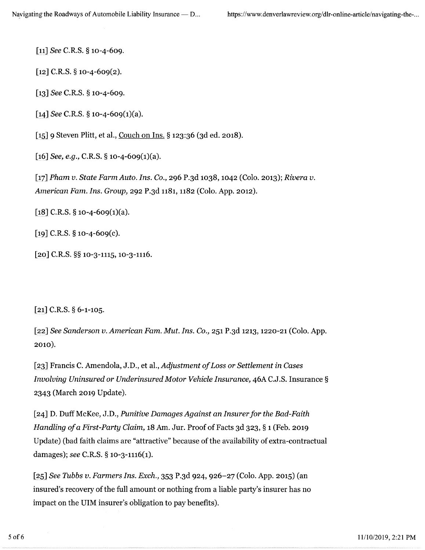[11] See C.R.S. § 10-4-609.

 $[12]$  C.R.S. § 10-4-609(2).

[13] See C.R.S. § 10-4-609.

[14] See C.R.S.  $\S$  10-4-609(1)(a).

[15] 9 Steven Plitt, et al., Couch on Ins. § 123:36 (3d ed. 2018).

 $[16]$  See, e.g., C.R.S. § 10-4-609(1)(a).

[17] Pham v. State Farm Auto. Ins. Co., 296 P.3d 1038, 1042 (Colo. 2013); Rivera v. American Fam. Ins. Group, 292 P.3d 1i8i, 1182 (Colo. App. 2012}.

[18] C.R.S.  $\S$  10-4-609(1)(a).

[19] C.R.S.  $\S$  10-4-609(c).

 $[20]$  C.R.S. §§ 10-3-1115, 10-3-1116.

[21] C.R.S. § 6-1-105.

[22] See Sanderson v. American Fam. Mut. Ins. Co., 25i P.3d 1213, 122o-2i (Colo. App. 2010).

[z3] Francis C. Amendola, J.D., et al., Adjustment of Loss or Settlement in Cases Involving Uninsured or Underinsured Motor Vehicle Insurance, 46A C.J.S. Insurance § 2343 March 2019 Update).

[24] D. Duff McKee, J.D., Punitive Damages Against an Insurer for the Bad-Faith Handling of a First-Party Claim, 18 Am. Jur. Proof of Facts 3d 323, § i (Feb. 2019 Update) (bad faith claims are "attractive" because of the availability of extra-contractual damages); see C.R.S. § 10-3-1116(1).

[25] See Tubbs v. Farmers Ins. Exch., 353 P.3d 924, 926-27 (Colo. App. 2015) (an insured's recovery of the full amount or nothing from a liable party's insurer has no impact on the UIM insurer's obligation to pay benefits).